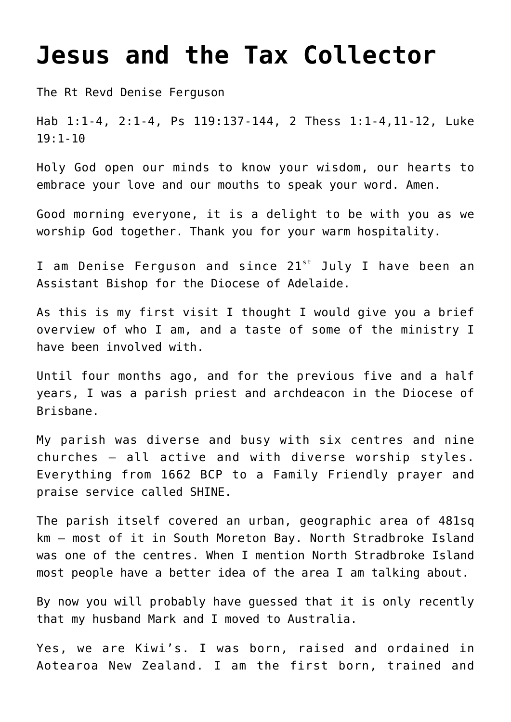## **[Jesus and the Tax Collector](https://stjohnsadelaide.org.au/jesus-and-the-tax-collector/)**

The Rt Revd Denise Ferguson

Hab 1:1-4, 2:1-4, Ps 119:137-144, 2 Thess 1:1-4,11-12, Luke 19:1-10

Holy God open our minds to know your wisdom, our hearts to embrace your love and our mouths to speak your word. Amen.

Good morning everyone, it is a delight to be with you as we worship God together. Thank you for your warm hospitality.

I am Denise Ferguson and since  $21^{st}$  July I have been an Assistant Bishop for the Diocese of Adelaide.

As this is my first visit I thought I would give you a brief overview of who I am, and a taste of some of the ministry I have been involved with.

Until four months ago, and for the previous five and a half years, I was a parish priest and archdeacon in the Diocese of Brisbane.

My parish was diverse and busy with six centres and nine churches – all active and with diverse worship styles. Everything from 1662 BCP to a Family Friendly prayer and praise service called SHINE.

The parish itself covered an urban, geographic area of 481sq km – most of it in South Moreton Bay. North Stradbroke Island was one of the centres. When I mention North Stradbroke Island most people have a better idea of the area I am talking about.

By now you will probably have guessed that it is only recently that my husband Mark and I moved to Australia.

Yes, we are Kiwi's. I was born, raised and ordained in Aotearoa New Zealand. I am the first born, trained and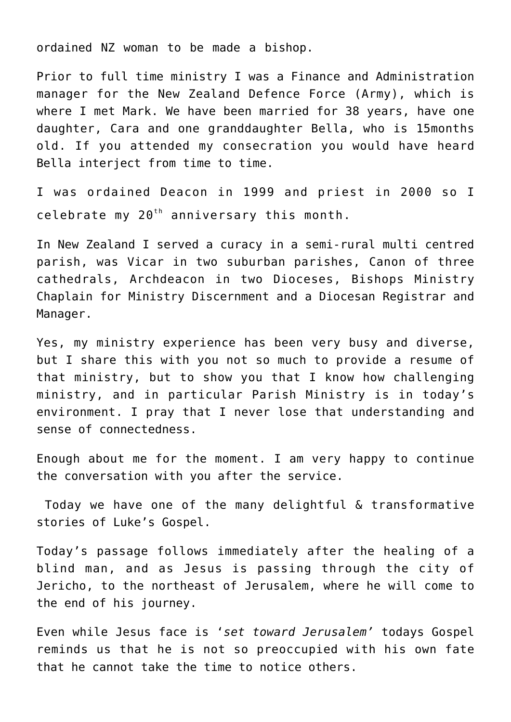ordained NZ woman to be made a bishop.

Prior to full time ministry I was a Finance and Administration manager for the New Zealand Defence Force (Army), which is where I met Mark. We have been married for 38 years, have one daughter, Cara and one granddaughter Bella, who is 15months old. If you attended my consecration you would have heard Bella interject from time to time.

I was ordained Deacon in 1999 and priest in 2000 so I celebrate my  $20<sup>th</sup>$  anniversary this month.

In New Zealand I served a curacy in a semi-rural multi centred parish, was Vicar in two suburban parishes, Canon of three cathedrals, Archdeacon in two Dioceses, Bishops Ministry Chaplain for Ministry Discernment and a Diocesan Registrar and Manager.

Yes, my ministry experience has been very busy and diverse, but I share this with you not so much to provide a resume of that ministry, but to show you that I know how challenging ministry, and in particular Parish Ministry is in today's environment. I pray that I never lose that understanding and sense of connectedness.

Enough about me for the moment. I am very happy to continue the conversation with you after the service.

Today we have one of the many delightful & transformative stories of Luke's Gospel.

Today's passage follows immediately after the healing of a blind man, and as Jesus is passing through the city of Jericho, to the northeast of Jerusalem, where he will come to the end of his journey.

Even while Jesus face is '*set toward Jerusalem'* todays Gospel reminds us that he is not so preoccupied with his own fate that he cannot take the time to notice others.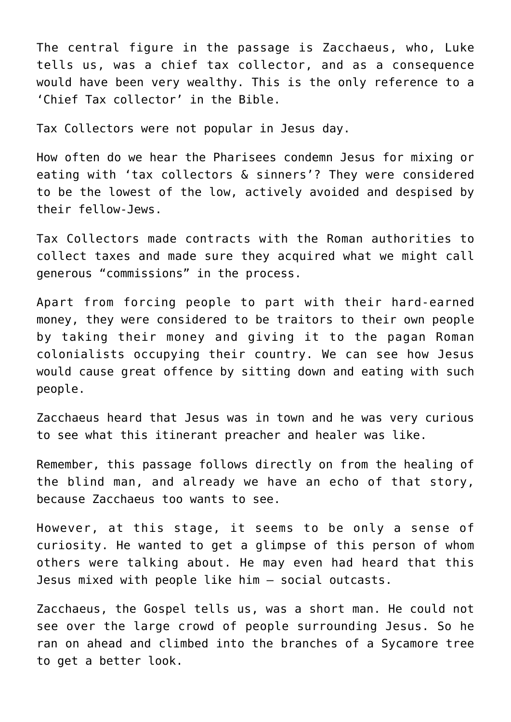The central figure in the passage is Zacchaeus, who, Luke tells us, was a chief tax collector, and as a consequence would have been very wealthy. This is the only reference to a 'Chief Tax collector' in the Bible.

Tax Collectors were not popular in Jesus day.

How often do we hear the Pharisees condemn Jesus for mixing or eating with 'tax collectors & sinners'? They were considered to be the lowest of the low, actively avoided and despised by their fellow-Jews.

Tax Collectors made contracts with the Roman authorities to collect taxes and made sure they acquired what we might call generous "commissions" in the process.

Apart from forcing people to part with their hard-earned money, they were considered to be traitors to their own people by taking their money and giving it to the pagan Roman colonialists occupying their country. We can see how Jesus would cause great offence by sitting down and eating with such people.

Zacchaeus heard that Jesus was in town and he was very curious to see what this itinerant preacher and healer was like.

Remember, this passage follows directly on from the healing of the blind man, and already we have an echo of that story, because Zacchaeus too wants to see.

However, at this stage, it seems to be only a sense of curiosity. He wanted to get a glimpse of this person of whom others were talking about. He may even had heard that this Jesus mixed with people like him – social outcasts.

Zacchaeus, the Gospel tells us, was a short man. He could not see over the large crowd of people surrounding Jesus. So he ran on ahead and climbed into the branches of a Sycamore tree to get a better look.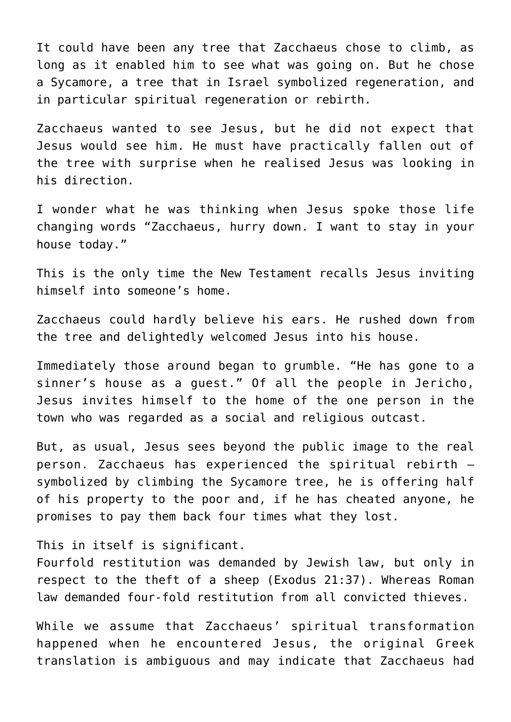It could have been any tree that Zacchaeus chose to climb, as long as it enabled him to see what was going on. But he chose a Sycamore, a tree that in Israel symbolized regeneration, and in particular spiritual regeneration or rebirth.

Zacchaeus wanted to see Jesus, but he did not expect that Jesus would see him. He must have practically fallen out of the tree with surprise when he realised Jesus was looking in his direction.

I wonder what he was thinking when Jesus spoke those life changing words "Zacchaeus, hurry down. I want to stay in your house today."

This is the only time the New Testament recalls Jesus inviting himself into someone's home.

Zacchaeus could hardly believe his ears. He rushed down from the tree and delightedly welcomed Jesus into his house.

Immediately those around began to grumble. "He has gone to a sinner's house as a guest." Of all the people in Jericho, Jesus invites himself to the home of the one person in the town who was regarded as a social and religious outcast.

But, as usual, Jesus sees beyond the public image to the real person. Zacchaeus has experienced the spiritual rebirth – symbolized by climbing the Sycamore tree, he is offering half of his property to the poor and, if he has cheated anyone, he promises to pay them back four times what they lost.

This in itself is significant.

Fourfold restitution was demanded by Jewish law, but only in respect to the theft of a sheep (Exodus 21:37). Whereas Roman law demanded four-fold restitution from all convicted thieves.

While we assume that Zacchaeus' spiritual transformation happened when he encountered Jesus, the original Greek translation is ambiguous and may indicate that Zacchaeus had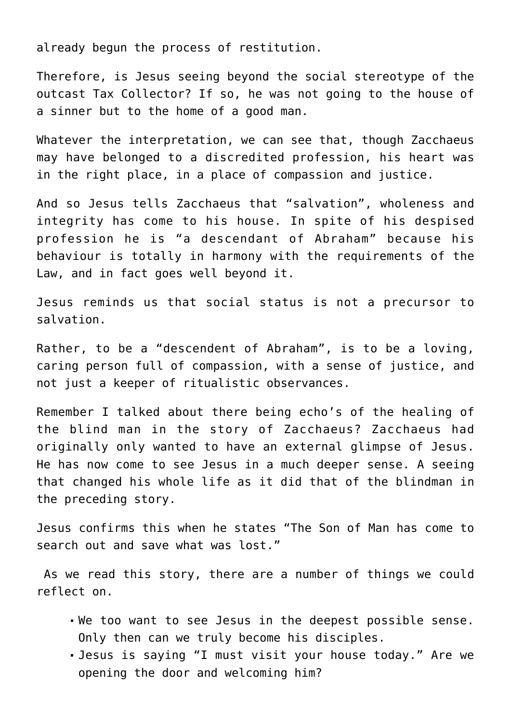already begun the process of restitution.

Therefore, is Jesus seeing beyond the social stereotype of the outcast Tax Collector? If so, he was not going to the house of a sinner but to the home of a good man.

Whatever the interpretation, we can see that, though Zacchaeus may have belonged to a discredited profession, his heart was in the right place, in a place of compassion and justice.

And so Jesus tells Zacchaeus that "salvation", wholeness and integrity has come to his house. In spite of his despised profession he is "a descendant of Abraham" because his behaviour is totally in harmony with the requirements of the Law, and in fact goes well beyond it.

Jesus reminds us that social status is not a precursor to salvation.

Rather, to be a "descendent of Abraham", is to be a loving, caring person full of compassion, with a sense of justice, and not just a keeper of ritualistic observances.

Remember I talked about there being echo's of the healing of the blind man in the story of Zacchaeus? Zacchaeus had originally only wanted to have an external glimpse of Jesus. He has now come to see Jesus in a much deeper sense. A seeing that changed his whole life as it did that of the blindman in the preceding story.

Jesus confirms this when he states "The Son of Man has come to search out and save what was lost."

As we read this story, there are a number of things we could reflect on.

- We too want to see Jesus in the deepest possible sense. Only then can we truly become his disciples.
- Jesus is saying "I must visit your house today." Are we opening the door and welcoming him?